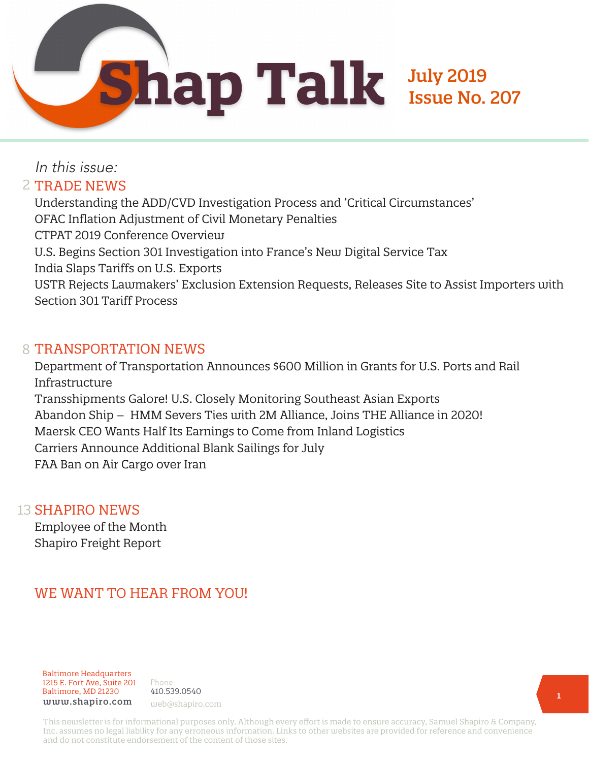

# In this issue: 2 TRADE NEWS

Understanding the ADD/CVD Investigation Process and 'Critical Circumstances' OFAC Inflation Adjustment of Civil Monetary Penalties CTPAT 2019 Conference Overview U.S. Begins Section 301 Investigation into France's New Digital Service Tax India Slaps Tariffs on U.S. Exports USTR Rejects Lawmakers' Exclusion Extension Requests, Releases Site to Assist Importers with Section 301 Tariff Process

#### 8 TRANSPORTATION NEWS

Department of Transportation Announces \$600 Million in Grants for U.S. Ports and Rail Infrastructure Transshipments Galore! U.S. Closely Monitoring Southeast Asian Exports Abandon Ship – HMM Severs Ties with 2M Alliance, Joins THE Alliance in 2020! Maersk CEO Wants Half Its Earnings to Come from Inland Logistics Carriers Announce Additional Blank Sailings for July FAA Ban on Air Cargo over Iran

#### 13 SHAPIRO NEWS

Employee of the Month Shapiro Freight Report

# WE WANT TO HEAR FROM YOU!

Baltimore Headquarters 1215 E. Fort Ave, Suite 201 Baltimore, MD 21230 www.shapiro.com web@shapiro.com

Phone 410.539.0540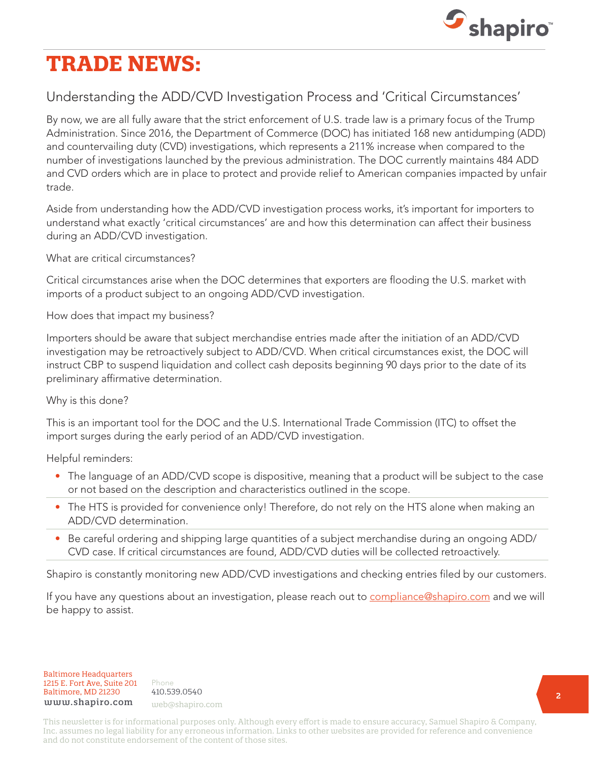

# **TRADE NEWS:**

# Understanding the ADD/CVD Investigation Process and 'Critical Circumstances'

By now, we are all fully aware that the strict enforcement of U.S. trade law is a primary focus of the Trump Administration. Since 2016, the Department of Commerce (DOC) has initiated 168 new antidumping (ADD) and countervailing duty (CVD) investigations, which represents a 211% increase when compared to the number of investigations launched by the previous administration. The DOC currently maintains 484 ADD and CVD orders which are in place to protect and provide relief to American companies impacted by unfair trade.

Aside from understanding how the ADD/CVD investigation process works, it's important for importers to understand what exactly 'critical circumstances' are and how this determination can affect their business during an ADD/CVD investigation.

What are critical circumstances?

Critical circumstances arise when the DOC determines that exporters are flooding the U.S. market with imports of a product subject to an ongoing ADD/CVD investigation.

How does that impact my business?

Importers should be aware that subject merchandise entries made after the initiation of an ADD/CVD investigation may be retroactively subject to ADD/CVD. When critical circumstances exist, the DOC will instruct CBP to suspend liquidation and collect cash deposits beginning 90 days prior to the date of its preliminary affirmative determination.

Why is this done?

This is an important tool for the DOC and the U.S. International Trade Commission (ITC) to offset the import surges during the early period of an ADD/CVD investigation.

Helpful reminders:

- The language of an ADD/CVD scope is dispositive, meaning that a product will be subject to the case or not based on the description and characteristics outlined in the scope.
- The HTS is provided for convenience only! Therefore, do not rely on the HTS alone when making an ADD/CVD determination.
- Be careful ordering and shipping large quantities of a subject merchandise during an ongoing ADD/ CVD case. If critical circumstances are found, ADD/CVD duties will be collected retroactively.

Shapiro is constantly monitoring new ADD/CVD investigations and checking entries filed by our customers.

If you have any questions about an investigation, please reach out to [compliance@shapiro.com](mailto:compliance%40shapiro.com?subject=) and we will be happy to assist.

Baltimore Headquarters Baltimore Headquarters 1215 E. Fort Ave, Suite 201 www.shapiro.com <sub>web@shapiro.com</sub> Baltimore, MD 21230

Phone Phone rnone<br>410.539.0540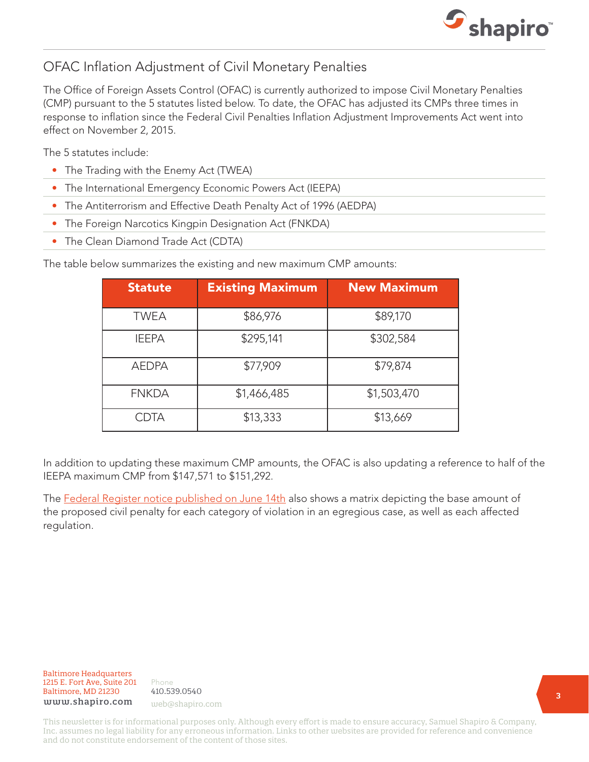

# OFAC Inflation Adjustment of Civil Monetary Penalties

The Office of Foreign Assets Control (OFAC) is currently authorized to impose Civil Monetary Penalties (CMP) pursuant to the 5 statutes listed below. To date, the OFAC has adjusted its CMPs three times in response to inflation since the Federal Civil Penalties Inflation Adjustment Improvements Act went into effect on November 2, 2015.

The 5 statutes include:

- The Trading with the Enemy Act (TWEA)
- The International Emergency Economic Powers Act (IEEPA)
- The Antiterrorism and Effective Death Penalty Act of 1996 (AEDPA)
- The Foreign Narcotics Kingpin Designation Act (FNKDA)
- The Clean Diamond Trade Act (CDTA)

The table below summarizes the existing and new maximum CMP amounts:

| <b>Statute</b> | <b>Existing Maximum</b> | <b>New Maximum</b> |
|----------------|-------------------------|--------------------|
| <b>TWEA</b>    | \$86,976                | \$89,170           |
| <b>IEEPA</b>   | \$295,141               | \$302,584          |
| <b>AEDPA</b>   | \$77,909                | \$79,874           |
| <b>FNKDA</b>   | \$1,466,485             | \$1,503,470        |
| CDTA           | \$13,333                | \$13,669           |

In addition to updating these maximum CMP amounts, the OFAC is also updating a reference to half of the IEEPA maximum CMP from \$147,571 to \$151,292.

The [Federal Register notice published on June 14th](https://www.govinfo.gov/content/pkg/FR-2019-06-14/pdf/2019-12475.pdf?utm_source=federalregister.gov&utm_medium=email&utm_campaign=subscription+mailing+list) also shows a matrix depicting the base amount of the proposed civil penalty for each category of violation in an egregious case, as well as each affected regulation.

Baltimore Headquarters Baltimore Headquarters<br>1215 E. F 1215 E. Fort Ave, Suite 201  ${\tt www.shapiro.com}$  web@shapiro.com Baltimore, MD 21230

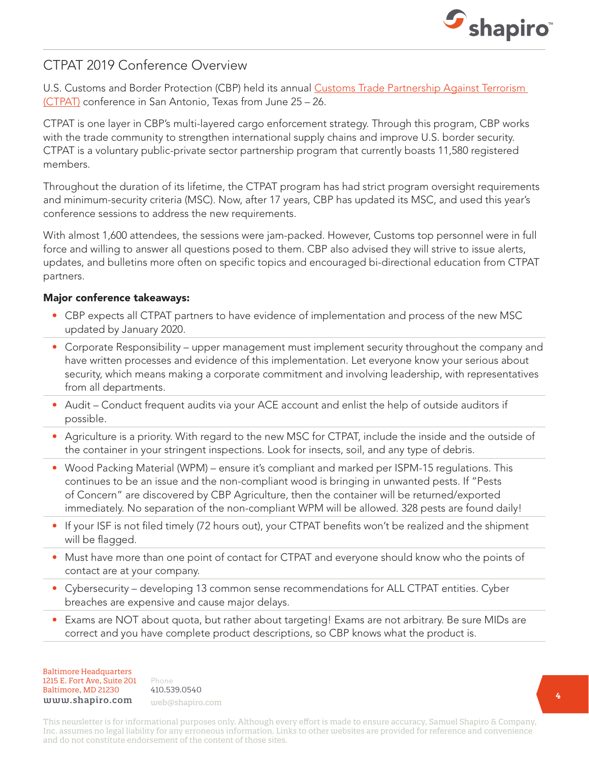

# CTPAT 2019 Conference Overview

U.S. Customs and Border Protection (CBP) held its annual [Customs Trade Partnership Against Terrorism](https://www.shapiro.com/resources/what-you-need-to-know-about-customs-trade-partnership-against-terrorism-c-tpat/)  [\(CTPAT\)](https://www.shapiro.com/resources/what-you-need-to-know-about-customs-trade-partnership-against-terrorism-c-tpat/) conference in San Antonio, Texas from June 25 – 26.

CTPAT is one layer in CBP's multi-layered cargo enforcement strategy. Through this program, CBP works with the trade community to strengthen international supply chains and improve U.S. border security. CTPAT is a voluntary public-private sector partnership program that currently boasts 11,580 registered members.

Throughout the duration of its lifetime, the CTPAT program has had strict program oversight requirements and minimum-security criteria (MSC). Now, after 17 years, CBP has updated its MSC, and used this year's conference sessions to address the new requirements.

With almost 1,600 attendees, the sessions were jam-packed. However, Customs top personnel were in full force and willing to answer all questions posed to them. CBP also advised they will strive to issue alerts, updates, and bulletins more often on specific topics and encouraged bi-directional education from CTPAT partners.

#### Major conference takeaways:

- CBP expects all CTPAT partners to have evidence of implementation and process of the new MSC updated by January 2020.
- Corporate Responsibility upper management must implement security throughout the company and have written processes and evidence of this implementation. Let everyone know your serious about security, which means making a corporate commitment and involving leadership, with representatives from all departments.
- Audit Conduct frequent audits via your ACE account and enlist the help of outside auditors if possible.
- Agriculture is a priority. With regard to the new MSC for CTPAT, include the inside and the outside of the container in your stringent inspections. Look for insects, soil, and any type of debris.
- Wood Packing Material (WPM) ensure it's compliant and marked per ISPM-15 regulations. This continues to be an issue and the non-compliant wood is bringing in unwanted pests. If "Pests of Concern" are discovered by CBP Agriculture, then the container will be returned/exported immediately. No separation of the non-compliant WPM will be allowed. 328 pests are found daily!
- If your ISF is not filed timely (72 hours out), your CTPAT benefits won't be realized and the shipment will be flagged.
- Must have more than one point of contact for CTPAT and everyone should know who the points of contact are at your company.
- Cybersecurity developing 13 common sense recommendations for ALL CTPAT entities. Cyber breaches are expensive and cause major delays.
- Exams are NOT about quota, but rather about targeting! Exams are not arbitrary. Be sure MIDs are correct and you have complete product descriptions, so CBP knows what the product is.

Baltimore Headquarters Baltimore Headquarters 1215 E. Fort Ave, Suite 201 1215 E. Fort Ave, Suite 201 Baltimore, MD 21201 Baltimore, MD 21230 www.shapiro.com web@shapiro.com

Phone Phone 410.539.0540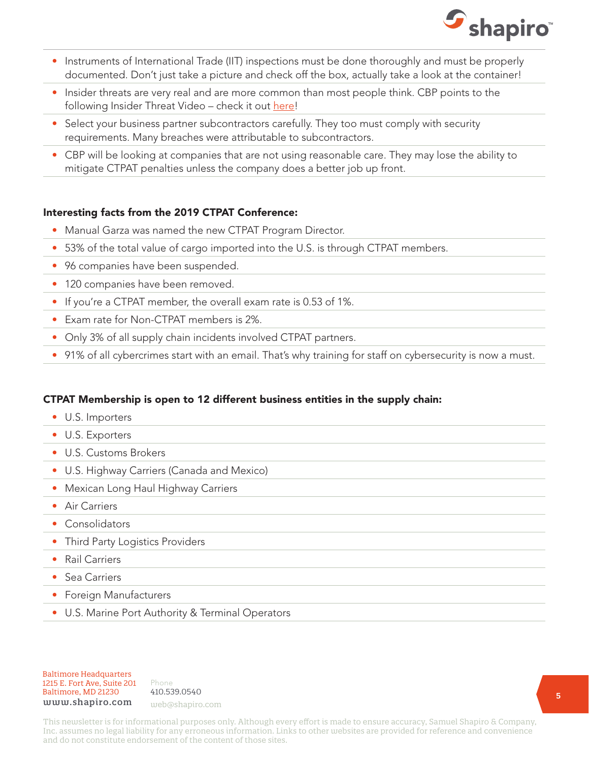

- Instruments of International Trade (IIT) inspections must be done thoroughly and must be properly documented. Don't just take a picture and check off the box, actually take a look at the container!
- Insider threats are very real and are more common than most people think. CBP points to the following Insider Threat Video - check it out [here](https://www.dhs.gov/insider-threat-trailer-and-video)!
- Select your business partner subcontractors carefully. They too must comply with security requirements. Many breaches were attributable to subcontractors.
- CBP will be looking at companies that are not using reasonable care. They may lose the ability to mitigate CTPAT penalties unless the company does a better job up front.

#### Interesting facts from the 2019 CTPAT Conference:

- Manual Garza was named the new CTPAT Program Director.
- 53% of the total value of cargo imported into the U.S. is through CTPAT members.
- 96 companies have been suspended.
- 120 companies have been removed.
- If you're a CTPAT member, the overall exam rate is 0.53 of 1%.
- Exam rate for Non-CTPAT members is 2%.
- Only 3% of all supply chain incidents involved CTPAT partners.
- 91% of all cybercrimes start with an email. That's why training for staff on cybersecurity is now a must.

#### CTPAT Membership is open to 12 different business entities in the supply chain:

- U.S. Importers
- U.S. Exporters
- U.S. Customs Brokers
- U.S. Highway Carriers (Canada and Mexico)
- Mexican Long Haul Highway Carriers
- Air Carriers
- Consolidators
- Third Party Logistics Providers
- Rail Carriers
- Sea Carriers
- Foreign Manufacturers
- U.S. Marine Port Authority & Terminal Operators

#### Baltimore Headquarters Baltimore Headquarters 1215 E. Fort Ave, Suite 201 www.shapiro.com <sub>web@shapiro.com</sub> Baltimore, MD 21230

Phone Phone rnone<br>410.539.0540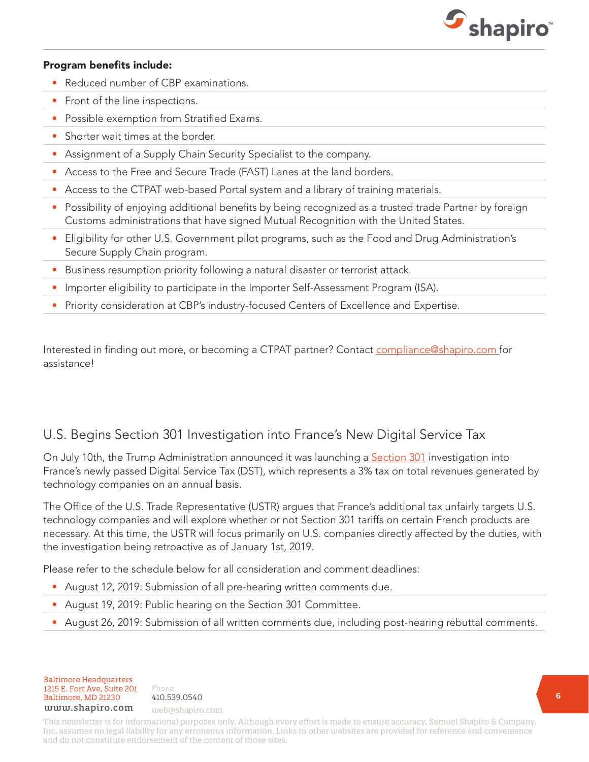

#### Program benefits include:

- Reduced number of CBP examinations.
- Front of the line inspections.
- Possible exemption from Stratified Exams.
- Shorter wait times at the border.
- Assignment of a Supply Chain Security Specialist to the company.
- Access to the Free and Secure Trade (FAST) Lanes at the land borders.
- Access to the CTPAT web-based Portal system and a library of training materials.
- Possibility of enjoying additional benefits by being recognized as a trusted trade Partner by foreign Customs administrations that have signed Mutual Recognition with the United States.
- Eligibility for other U.S. Government pilot programs, such as the Food and Drug Administration's Secure Supply Chain program.
- Business resumption priority following a natural disaster or terrorist attack.
- Importer eligibility to participate in the Importer Self-Assessment Program (ISA).
- Priority consideration at CBP's industry-focused Centers of Excellence and Expertise.

Interested in finding out more, or becoming a CTPAT partner? Contact [compliance@shapiro.com](mailto:mailto:%20compliance%40shapiro.com%20?subject=) for assistance!

#### U.S. Begins Section 301 Investigation into France's New Digital Service Tax

On July 10th, the Trump Administration announced it was launching a [Section 301](https://www.shapiro.com/tariffs/tariff-news/) investigation into France's newly passed Digital Service Tax (DST), which represents a 3% tax on total revenues generated by technology companies on an annual basis.

The Office of the U.S. Trade Representative (USTR) argues that France's additional tax unfairly targets U.S. technology companies and will explore whether or not Section 301 tariffs on certain French products are necessary. At this time, the USTR will focus primarily on U.S. companies directly affected by the duties, with the investigation being retroactive as of January 1st, 2019.

Please refer to the schedule below for all consideration and comment deadlines:

- August 12, 2019: Submission of all pre-hearing written comments due.
- August 19, 2019: Public hearing on the Section 301 Committee.
- August 26, 2019: Submission of all written comments due, including post-hearing rebuttal comments.

Baltimore Headquarters 1215 E. Fort Ave, Suite 201 Baltimore, MD 21230 410.539.0540 www.shapiro.com web@shapiro.com

Phone 410.539.0540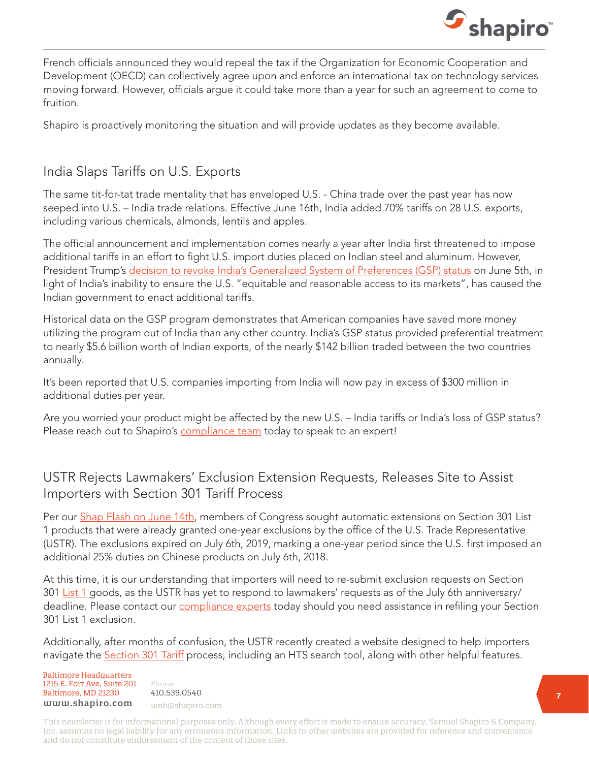

French officials announced they would repeal the tax if the Organization for Economic Cooperation and Development (OECD) can collectively agree upon and enforce an international tax on technology services moving forward. However, officials argue it could take more than a year for such an agreement to come to fruition.

Shapiro is proactively monitoring the situation and will provide updates as they become available.

### India Slaps Tariffs on U.S. Exports

The same tit-for-tat trade mentality that has enveloped U.S. - China trade over the past year has now seeped into U.S. – India trade relations. Effective June 16th, India added 70% tariffs on 28 U.S. exports, including various chemicals, almonds, lentils and apples.

The official announcement and implementation comes nearly a year after India first threatened to impose additional tariffs in an effort to fight U.S. import duties placed on Indian steel and aluminum. However, President Trump's [decision to revoke India's Generalized System of Preferences \(GSP\) status](https://www.shapiro.com/alerts/india-to-lose-gsp-status-wednesday-june-5th/) on June 5th, in light of India's inability to ensure the U.S. "equitable and reasonable access to its markets", has caused the Indian government to enact additional tariffs.

Historical data on the GSP program demonstrates that American companies have saved more money utilizing the program out of India than any other country. India's GSP status provided preferential treatment to nearly \$5.6 billion worth of Indian exports, of the nearly \$142 billion traded between the two countries annually.

It's been reported that U.S. companies importing from India will now pay in excess of \$300 million in additional duties per year.

Are you worried your product might be affected by the new U.S. – India tariffs or India's loss of GSP status? Please reach out to Shapiro's [compliance team](mailto:compliance@shapiro.com) today to speak to an expert!

#### USTR Rejects Lawmakers' Exclusion Extension Requests, Releases Site to Assist Importers with Section 301 Tariff Process

Per our [Shap Flash on June 14th](https://www.shapiro.com/alerts/congress-extension-section-301-exclusions/), members of Congress sought automatic extensions on Section 301 List 1 products that were already granted one-year exclusions by the office of the U.S. Trade Representative (USTR). The exclusions expired on July 6th, 2019, marking a one-year period since the U.S. first imposed an additional 25% duties on Chinese products on July 6th, 2018.

At this time, it is our understanding that importers will need to re-submit exclusion requests on Section 301 [List 1](https://www.shapiro.com/wp-content/uploads/Tariff-List-1.pdf) goods, as the USTR has yet to respond to lawmakers' requests as of the July 6th anniversary/ deadline. Please contact our *compliance experts* today should you need assistance in refiling your Section 301 List 1 exclusion.

Additionally, after months of confusion, the USTR recently created a website designed to help importers navigate the **Section 301 Tariff** process, including an HTS search tool, along with other helpful features.

Baltimore Headquarters Baltimore Headquarters 1215 E. Fort Ave, Suite 201 www.shapiro.com web@shapiro.com Baltimore, MD 21230

Phone 410.539.0540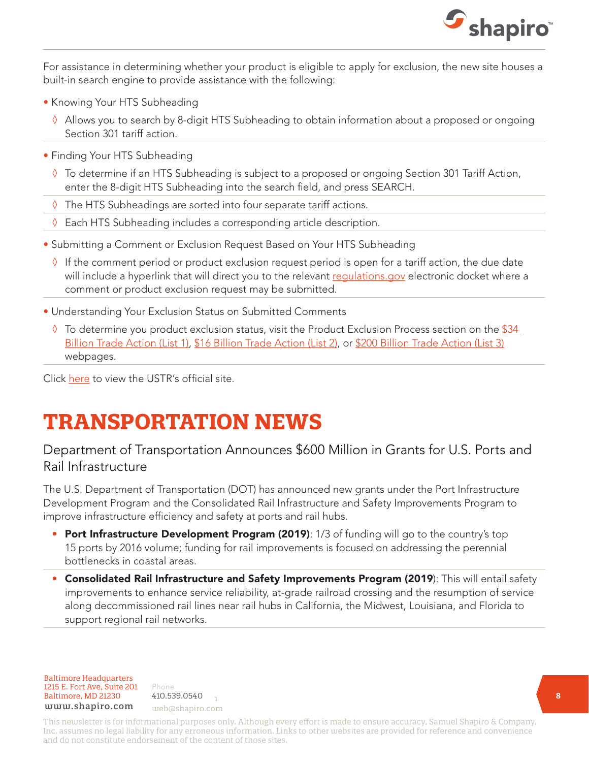

For assistance in determining whether your product is eligible to apply for exclusion, the new site houses a built-in search engine to provide assistance with the following:

- Knowing Your HTS Subheading
	- ◊ Allows you to search by 8-digit HTS Subheading to obtain information about a proposed or ongoing Section 301 tariff action.
- Finding Your HTS Subheading
	- ◊ To determine if an HTS Subheading is subject to a proposed or ongoing Section 301 Tariff Action, enter the 8-digit HTS Subheading into the search field, and press SEARCH.
	- ◊ The HTS Subheadings are sorted into four separate tariff actions.
	- ◊ Each HTS Subheading includes a corresponding article description.
- Submitting a Comment or Exclusion Request Based on Your HTS Subheading
	- $\Diamond$  If the comment period or product exclusion request period is open for a tariff action, the due date will include a hyperlink that will direct you to the relevant requlations, gov electronic docket where a comment or product exclusion request may be submitted.
- Understanding Your Exclusion Status on Submitted Comments
	- $\Diamond$  To determine you product exclusion status, visit the Product Exclusion Process section on the \$34 [Billion Trade Action \(List 1\)](https://ustr.gov/issue-areas/enforcement/section-301-investigations/section-301-china/34-billion-trade-action /), [\\$16 Billion Trade Action \(List 2\),](https://ustr.gov/issue-areas/enforcement/section-301-investigations/section-301-china/16-billion-trade-action /) or [\\$200 Billion Trade Action \(List 3\)](https://ustr.gov/issue-areas/enforcement/section-301-investigations/section-301-china/200-billion-trade-action /) webpages.

Click [here](https://ustr.gov/issue-areas/enforcement/section-301-investigations/search) to view the USTR's official site.

# **TRANSPORTATION NEWS**

### Department of Transportation Announces \$600 Million in Grants for U.S. Ports and Rail Infrastructure

The U.S. Department of Transportation (DOT) has announced new grants under the Port Infrastructure Development Program and the Consolidated Rail Infrastructure and Safety Improvements Program to improve infrastructure efficiency and safety at ports and rail hubs.

- Port Infrastructure Development Program (2019): 1/3 of funding will go to the country's top 15 ports by 2016 volume; funding for rail improvements is focused on addressing the perennial bottlenecks in coastal areas.
- Consolidated Rail Infrastructure and Safety Improvements Program (2019): This will entail safety improvements to enhance service reliability, at-grade railroad crossing and the resumption of service along decommissioned rail lines near rail hubs in California, the Midwest, Louisiana, and Florida to support regional rail networks.

Baltimore Headquarters 1215 E. Fort Ave, Suite 201 **Baltimore, MD 21230** 410.539.0540 www.shapiro.com web@shapiro.com

Phone 410.539.0540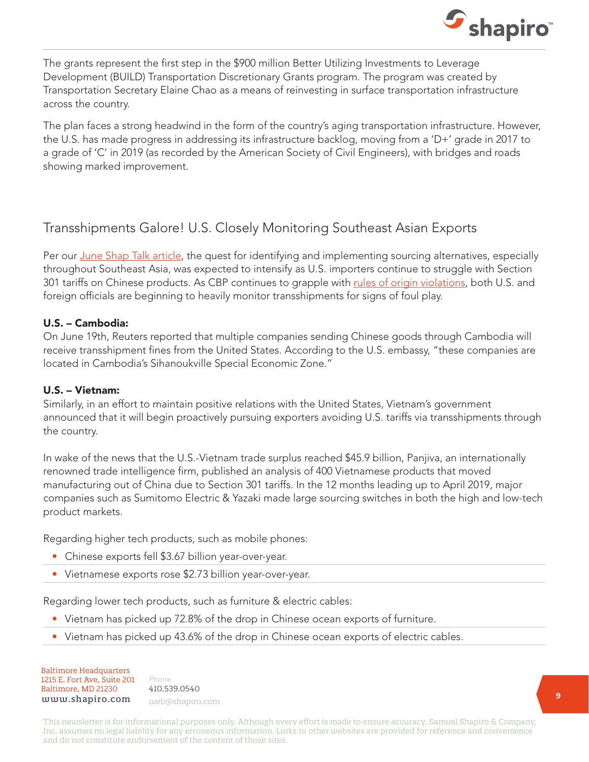

The grants represent the first step in the \$900 million Better Utilizing Investments to Leverage Development (BUILD) Transportation Discretionary Grants program. The program was created by Transportation Secretary Elaine Chao as a means of reinvesting in surface transportation infrastructure across the country.

The plan faces a strong headwind in the form of the country's aging transportation infrastructure. However, the U.S. has made progress in addressing its infrastructure backlog, moving from a 'D+' grade in 2017 to a grade of 'C' in 2019 (as recorded by the American Society of Civil Engineers), with bridges and roads showing marked improvement.

#### Transshipments Galore! U.S. Closely Monitoring Southeast Asian Exports

Per our [June Shap Talk article](https://www.shapiro.com/newsletters/june-2019-issue-206/#st-4), the quest for identifying and implementing sourcing alternatives, especially throughout Southeast Asia, was expected to intensify as U.S. importers continue to struggle with Section 301 tariffs on Chinese products. As CBP continues to grapple with [rules of origin violations,](https://www.shapiro.com/newsletters/june-2019-issue-206/#st-4) both U.S. and foreign officials are beginning to heavily monitor transshipments for signs of foul play.

#### U.S. – Cambodia:

On June 19th, Reuters reported that multiple companies sending Chinese goods through Cambodia will receive transshipment fines from the United States. According to the U.S. embassy, "these companies are located in Cambodia's Sihanoukville Special Economic Zone."

#### U.S. – Vietnam:

Similarly, in an effort to maintain positive relations with the United States, Vietnam's government announced that it will begin proactively pursuing exporters avoiding U.S. tariffs via transshipments through the country.

In wake of the news that the U.S.-Vietnam trade surplus reached \$45.9 billion, Panjiva, an internationally renowned trade intelligence firm, published an analysis of 400 Vietnamese products that moved manufacturing out of China due to Section 301 tariffs. In the 12 months leading up to April 2019, major companies such as Sumitomo Electric & Yazaki made large sourcing switches in both the high and low-tech product markets.

Regarding higher tech products, such as mobile phones:

- Chinese exports fell \$3.67 billion year-over-year.
- Vietnamese exports rose \$2.73 billion year-over-year.

Regarding lower tech products, such as furniture & electric cables:

- Vietnam has picked up 72.8% of the drop in Chinese ocean exports of furniture.
- Vietnam has picked up 43.6% of the drop in Chinese ocean exports of electric cables.

Baltimore Headquarters Baltimore Headquarters 1215 E. Fort Ave, Suite 201 1215 E. Fort Ave, Suite 201 Baltimore, MD 21230  ${\tt www.shapiro.com}$  web@shapiro.com

Phone Phone 410.539.0540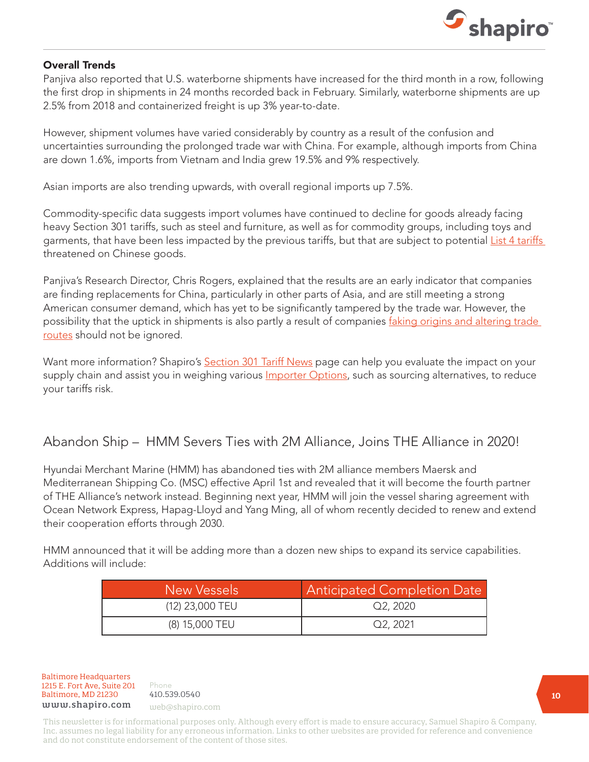

#### Overall Trends

Panjiva also reported that U.S. waterborne shipments have increased for the third month in a row, following the first drop in shipments in 24 months recorded back in February. Similarly, waterborne shipments are up 2.5% from 2018 and containerized freight is up 3% year-to-date.

However, shipment volumes have varied considerably by country as a result of the confusion and uncertainties surrounding the prolonged trade war with China. For example, although imports from China are down 1.6%, imports from Vietnam and India grew 19.5% and 9% respectively.

Asian imports are also trending upwards, with overall regional imports up 7.5%.

Commodity-specific data suggests import volumes have continued to decline for goods already facing heavy Section 301 tariffs, such as steel and furniture, as well as for commodity groups, including toys and garments, that have been less impacted by the previous tariffs, but that are subject to potential List 4 tariffs threatened on Chinese goods.

Panjiva's Research Director, Chris Rogers, explained that the results are an early indicator that companies are finding replacements for China, particularly in other parts of Asia, and are still meeting a strong American consumer demand, which has yet to be significantly tampered by the trade war. However, the possibility that the uptick in shipments is also partly a result of companies faking origins and altering trade [routes](https://www.shapiro.com/newsletters/june-2019-issue-206/#st-4) should not be ignored.

Want more information? Shapiro's [Section 301 Tariff News](https://www.shapiro.com/tariffs/tariff-news/) page can help you evaluate the impact on your supply chain and assist you in weighing various *Importer Options*, such as sourcing alternatives, to reduce your tariffs risk.

#### Abandon Ship – HMM Severs Ties with 2M Alliance, Joins THE Alliance in 2020!

Hyundai Merchant Marine (HMM) has abandoned ties with 2M alliance members Maersk and Mediterranean Shipping Co. (MSC) effective April 1st and revealed that it will become the fourth partner of THE Alliance's network instead. Beginning next year, HMM will join the vessel sharing agreement with Ocean Network Express, Hapag-Lloyd and Yang Ming, all of whom recently decided to renew and extend their cooperation efforts through 2030.

HMM announced that it will be adding more than a dozen new ships to expand its service capabilities. Additions will include:

| New Vessels     | <b>Anticipated Completion Date</b> |
|-----------------|------------------------------------|
| (12) 23,000 TEU | Q2.2020                            |
| (8) 15,000 TEU  | Q2, 2021                           |

Baltimore Headquarters 1215 E. Fort Ave, Suite 201 Baltimore, MD 21230 410.539.0540 www.shapiro.com web@shapiro.com

Phone the set of the set of the set of the set of the set of the set of the set of the set of the set of the set of the set of the set of the set of the set of the set of the set of the set of the set of the set of the set 410.539.0540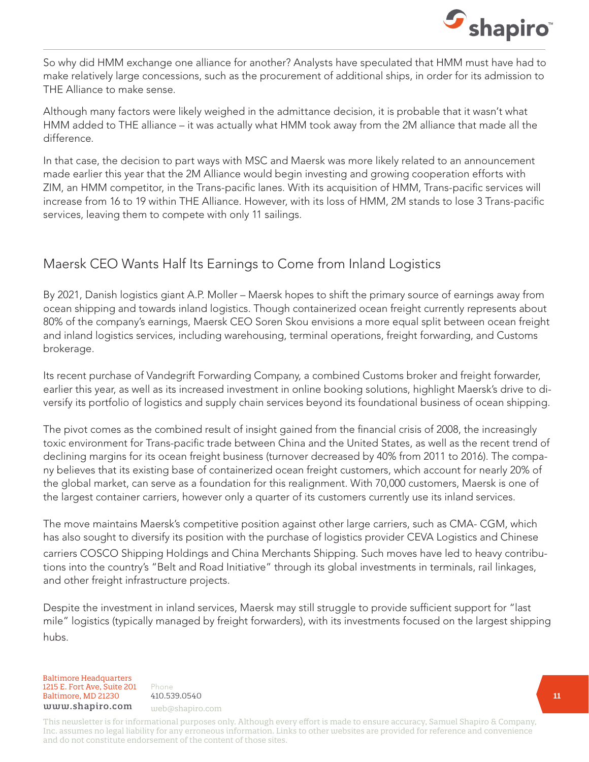

So why did HMM exchange one alliance for another? Analysts have speculated that HMM must have had to make relatively large concessions, such as the procurement of additional ships, in order for its admission to THE Alliance to make sense.

Although many factors were likely weighed in the admittance decision, it is probable that it wasn't what HMM added to THE alliance – it was actually what HMM took away from the 2M alliance that made all the difference.

In that case, the decision to part ways with MSC and Maersk was more likely related to an announcement made earlier this year that the 2M Alliance would begin investing and growing cooperation efforts with ZIM, an HMM competitor, in the Trans-pacific lanes. With its acquisition of HMM, Trans-pacific services will increase from 16 to 19 within THE Alliance. However, with its loss of HMM, 2M stands to lose 3 Trans-pacific services, leaving them to compete with only 11 sailings.

# Maersk CEO Wants Half Its Earnings to Come from Inland Logistics

By 2021, Danish logistics giant A.P. Moller – Maersk hopes to shift the primary source of earnings away from ocean shipping and towards inland logistics. Though containerized ocean freight currently represents about 80% of the company's earnings, Maersk CEO Soren Skou envisions a more equal split between ocean freight and inland logistics services, including warehousing, terminal operations, freight forwarding, and Customs brokerage.

Its recent purchase of Vandegrift Forwarding Company, a combined Customs broker and freight forwarder, earlier this year, as well as its increased investment in online booking solutions, highlight Maersk's drive to diversify its portfolio of logistics and supply chain services beyond its foundational business of ocean shipping.

The pivot comes as the combined result of insight gained from the financial crisis of 2008, the increasingly toxic environment for Trans-pacific trade between China and the United States, as well as the recent trend of declining margins for its ocean freight business (turnover decreased by 40% from 2011 to 2016). The company believes that its existing base of containerized ocean freight customers, which account for nearly 20% of the global market, can serve as a foundation for this realignment. With 70,000 customers, Maersk is one of the largest container carriers, however only a quarter of its customers currently use its inland services.

The move maintains Maersk's competitive position against other large carriers, such as CMA- CGM, which has also sought to diversify its position with the purchase of logistics provider CEVA Logistics and Chinese carriers COSCO Shipping Holdings and China Merchants Shipping. Such moves have led to heavy contributions into the country's "Belt and Road Initiative" through its global investments in terminals, rail linkages, and other freight infrastructure projects.

Despite the investment in inland services, Maersk may still struggle to provide sufficient support for "last mile" logistics (typically managed by freight forwarders), with its investments focused on the largest shipping hubs.

Baltimore Headquarters 1215 E. Fort Ave, Suite 201 Baltimore, MD 21230 410.539.0540 www.shapiro.com web@shapiro.com

Phone 410.539.0540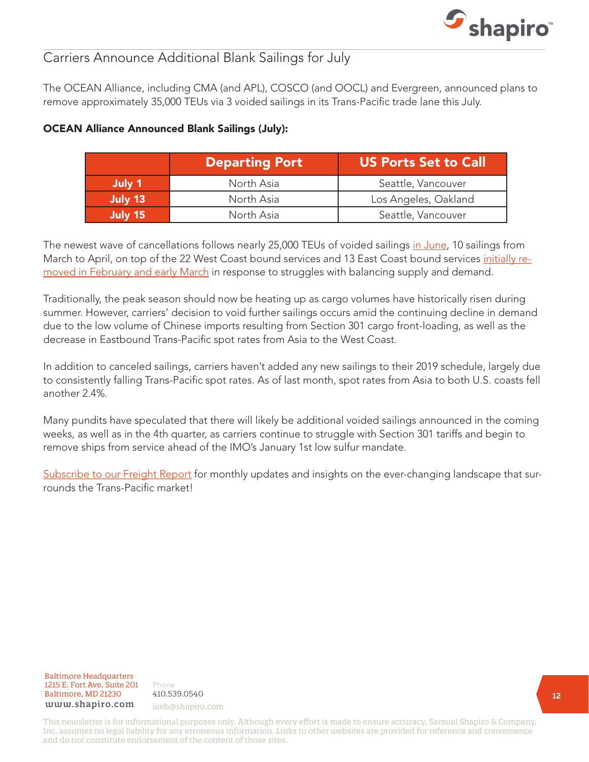

### Carriers Announce Additional Blank Sailings for July

The OCEAN Alliance, including CMA (and APL), COSCO (and OOCL) and Evergreen, announced plans to remove approximately 35,000 TEUs via 3 voided sailings in its Trans-Pacific trade lane this July.

|         | <b>Departing Port</b> | <b>US Ports Set to Call</b> |
|---------|-----------------------|-----------------------------|
| July 1  | North Asia            | Seattle, Vancouver          |
| July 13 | North Asia            | Los Angeles, Oakland        |
| July 15 | North Asia            | Seattle, Vancouver          |

#### OCEAN Alliance Announced Blank Sailings (July):

The newest wave of cancellations follows nearly 25,000 TEUs of voided sailings [in June,](https://www.shapiro.com/newsletters/june-2019-issue-206/#st-8) 10 sailings from March to April, on top of the 22 West Coast bound services and 13 East Coast bound services [initially re](https://www.shapiro.com/newsletters/april-2019-issue-204/#st-6)[moved in February and early March](https://www.shapiro.com/newsletters/april-2019-issue-204/#st-6) in response to struggles with balancing supply and demand.

Traditionally, the peak season should now be heating up as cargo volumes have historically risen during summer. However, carriers' decision to void further sailings occurs amid the continuing decline in demand due to the low volume of Chinese imports resulting from Section 301 cargo front-loading, as well as the decrease in Eastbound Trans-Pacific spot rates from Asia to the West Coast.

In addition to canceled sailings, carriers haven't added any new sailings to their 2019 schedule, largely due to consistently falling Trans-Pacific spot rates. As of last month, spot rates from Asia to both U.S. coasts fell another 2.4%.

Many pundits have speculated that there will likely be additional voided sailings announced in the coming weeks, as well as in the 4th quarter, as carriers continue to struggle with Section 301 tariffs and begin to remove ships from service ahead of the IMO's January 1st low sulfur mandate.

[Subscribe to our Freight Report](https://www.shapiro.com/subscription-center/) for monthly updates and insights on the ever-changing landscape that surrounds the Trans-Pacific market!

Baltimore Headquarters 1215 E. Fort Ave, Suite 201 www.shapiro.com web@shapiro.com Baltimore, MD 21230

Phone that the set of the set of the set of the set of the set of the set of the set of the set of the set of the set of the set of the set of the set of the set of the set of the set of the set of the set of the set of th Phone 410.539.0540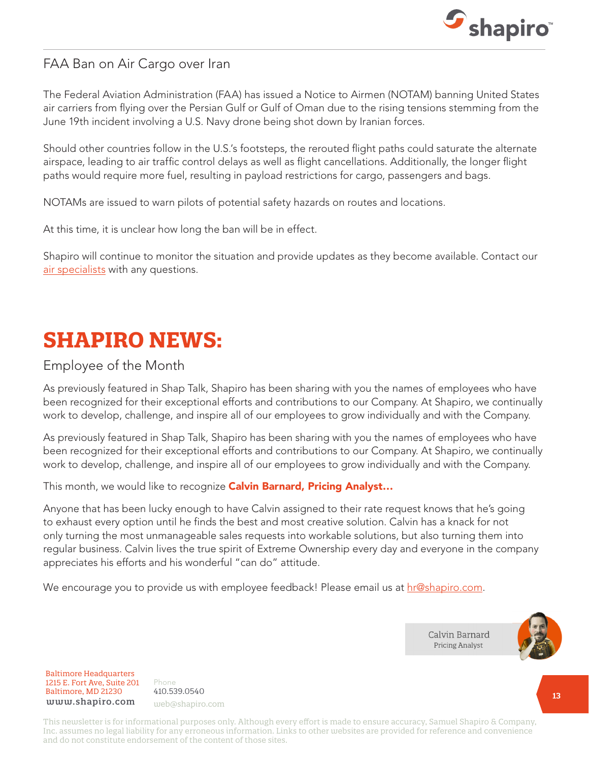

#### FAA Ban on Air Cargo over Iran

The Federal Aviation Administration (FAA) has issued a Notice to Airmen (NOTAM) banning United States air carriers from flying over the Persian Gulf or Gulf of Oman due to the rising tensions stemming from the June 19th incident involving a U.S. Navy drone being shot down by Iranian forces.

Should other countries follow in the U.S.'s footsteps, the rerouted flight paths could saturate the alternate airspace, leading to air traffic control delays as well as flight cancellations. Additionally, the longer flight paths would require more fuel, resulting in payload restrictions for cargo, passengers and bags.

NOTAMs are issued to warn pilots of potential safety hazards on routes and locations.

At this time, it is unclear how long the ban will be in effect.

Shapiro will continue to monitor the situation and provide updates as they become available. Contact our [air specialists](mailto:cindy@shapiro.com) with any questions.

# **SHAPIRO NEWS:**

#### Employee of the Month

As previously featured in Shap Talk, Shapiro has been sharing with you the names of employees who have been recognized for their exceptional efforts and contributions to our Company. At Shapiro, we continually work to develop, challenge, and inspire all of our employees to grow individually and with the Company.

As previously featured in Shap Talk, Shapiro has been sharing with you the names of employees who have been recognized for their exceptional efforts and contributions to our Company. At Shapiro, we continually work to develop, challenge, and inspire all of our employees to grow individually and with the Company.

This month, we would like to recognize **Calvin Barnard, Pricing Analyst...** 

Anyone that has been lucky enough to have Calvin assigned to their rate request knows that he's going to exhaust every option until he finds the best and most creative solution. Calvin has a knack for not only turning the most unmanageable sales requests into workable solutions, but also turning them into regular business. Calvin lives the true spirit of Extreme Ownership every day and everyone in the company appreciates his efforts and his wonderful "can do" attitude.

We encourage you to provide us with employee feedback! Please email us at [hr@shapiro.com.](mailto:hr%40shapiro.com?subject=)



Baltimore Headquarters Baltimore Headquarters 1215 E. Fort Ave, Suite 201 www.shapiro.com <sub>web@shapiro.com</sub> Baltimore, MD 21230

Phone Phone rnone<br>410.539.0540